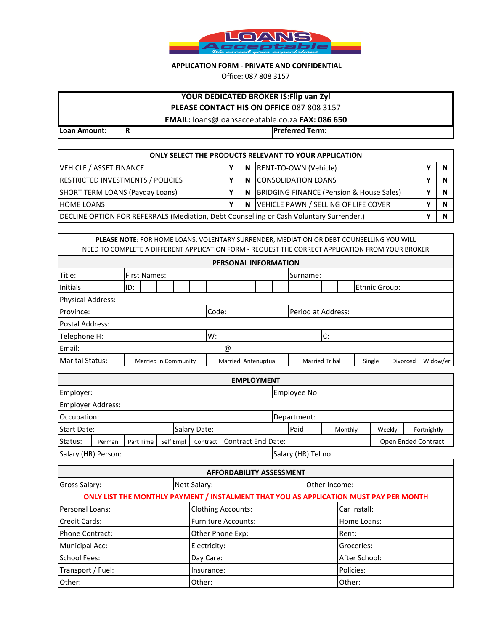

## **APPLICATION FORM - PRIVATE AND CONFIDENTIAL**

Office: 087 808 3157

# **YOUR DEDICATED BROKER IS:Flip van Zyl**

**PLEASE CONTACT HIS ON OFFICE** 087 808 3157

**EMAIL:** loans@loansacceptable.co.za **FAX: 086 650** 

**Loan Amount: R Preferred Term:**

| <b>ONLY SELECT THE PRODUCTS RELEVANT TO YOUR APPLICATION</b>                            |  |   |                                          |  |  |  |  |  |  |  |  |
|-----------------------------------------------------------------------------------------|--|---|------------------------------------------|--|--|--|--|--|--|--|--|
| VEHICLE / ASSET FINANCE                                                                 |  | N | RENT-TO-OWN (Vehicle)                    |  |  |  |  |  |  |  |  |
| RESTRICTED INVESTMENTS / POLICIES                                                       |  | N | <b>ICONSOLIDATION LOANS</b>              |  |  |  |  |  |  |  |  |
| SHORT TERM LOANS (Payday Loans)                                                         |  | N | BRIDGING FINANCE (Pension & House Sales) |  |  |  |  |  |  |  |  |
| N VEHICLE PAWN / SELLING OF LIFE COVER<br><b>HOME LOANS</b>                             |  |   |                                          |  |  |  |  |  |  |  |  |
| DECLINE OPTION FOR REFERRALS (Mediation, Debt Counselling or Cash Voluntary Surrender.) |  |   |                                          |  |  |  |  |  |  |  |  |

| <b>PLEASE NOTE:</b> FOR HOME LOANS, VOLENTARY SURRENDER, MEDIATION OR DEBT COUNSELLING YOU WILL<br>NEED TO COMPLETE A DIFFERENT APPLICATION FORM - REQUEST THE CORRECT APPLICATION FROM YOUR BROKER |     |                                 |  |  |  |       |                     |  |  |                    |                       |  |               |        |          |          |
|-----------------------------------------------------------------------------------------------------------------------------------------------------------------------------------------------------|-----|---------------------------------|--|--|--|-------|---------------------|--|--|--------------------|-----------------------|--|---------------|--------|----------|----------|
| <b>PERSONAL INFORMATION</b>                                                                                                                                                                         |     |                                 |  |  |  |       |                     |  |  |                    |                       |  |               |        |          |          |
| Title:                                                                                                                                                                                              |     | <b>First Names:</b><br>Surname: |  |  |  |       |                     |  |  |                    |                       |  |               |        |          |          |
| Initials:                                                                                                                                                                                           | ID: |                                 |  |  |  |       |                     |  |  |                    |                       |  | Ethnic Group: |        |          |          |
| <b>Physical Address:</b>                                                                                                                                                                            |     |                                 |  |  |  |       |                     |  |  |                    |                       |  |               |        |          |          |
| Province:                                                                                                                                                                                           |     |                                 |  |  |  | Code: |                     |  |  | Period at Address: |                       |  |               |        |          |          |
| Postal Address:                                                                                                                                                                                     |     |                                 |  |  |  |       |                     |  |  |                    |                       |  |               |        |          |          |
| Telephone H:                                                                                                                                                                                        |     |                                 |  |  |  |       | W:                  |  |  |                    | C:                    |  |               |        |          |          |
| Email:                                                                                                                                                                                              | @   |                                 |  |  |  |       |                     |  |  |                    |                       |  |               |        |          |          |
| <b>Marital Status:</b>                                                                                                                                                                              |     | Married in Community            |  |  |  |       | Married Antenuptual |  |  |                    | <b>Married Tribal</b> |  |               | Single | Divorced | Widow/er |
|                                                                                                                                                                                                     |     |                                 |  |  |  |       |                     |  |  |                    |                       |  |               |        |          |          |

| <b>EMPLOYMENT</b>  |                     |           |           |              |                    |                     |         |        |             |  |  |  |  |
|--------------------|---------------------|-----------|-----------|--------------|--------------------|---------------------|---------|--------|-------------|--|--|--|--|
| Employer:          |                     |           |           |              |                    | Employee No:        |         |        |             |  |  |  |  |
|                    | Employer Address:   |           |           |              |                    |                     |         |        |             |  |  |  |  |
| Occupation:        |                     |           |           |              |                    | Department:         |         |        |             |  |  |  |  |
| <b>Start Date:</b> |                     |           |           | Salary Date: |                    | Paid:               | Monthly | Weekly | Fortnightly |  |  |  |  |
| Status:            | Perman              | Part Time | Self Empl | Contract     | Contract End Date: | Open Ended Contract |         |        |             |  |  |  |  |
|                    | Salary (HR) Person: |           |           |              |                    | Salary (HR) Tel no: |         |        |             |  |  |  |  |

| <b>AFFORDABILITY ASSESSMENT</b> |                            |  |                                                                                       |  |  |  |  |  |  |  |  |
|---------------------------------|----------------------------|--|---------------------------------------------------------------------------------------|--|--|--|--|--|--|--|--|
| Gross Salary:                   | Nett Salary:               |  | Other Income:                                                                         |  |  |  |  |  |  |  |  |
|                                 |                            |  | ONLY LIST THE MONTHLY PAYMENT / INSTALMENT THAT YOU AS APPLICATION MUST PAY PER MONTH |  |  |  |  |  |  |  |  |
| Personal Loans:                 | <b>Clothing Accounts:</b>  |  | Car Install:                                                                          |  |  |  |  |  |  |  |  |
| Credit Cards:                   | <b>Furniture Accounts:</b> |  | Home Loans:                                                                           |  |  |  |  |  |  |  |  |
| <b>Phone Contract:</b>          | Other Phone Exp:           |  | Rent:                                                                                 |  |  |  |  |  |  |  |  |
| <b>Municipal Acc:</b>           | Electricity:               |  | Groceries:                                                                            |  |  |  |  |  |  |  |  |
| School Fees:                    | Day Care:                  |  | After School:                                                                         |  |  |  |  |  |  |  |  |
| Transport / Fuel:               | Insurance:                 |  | Policies:                                                                             |  |  |  |  |  |  |  |  |
| Other:                          | Other:                     |  | Other:                                                                                |  |  |  |  |  |  |  |  |